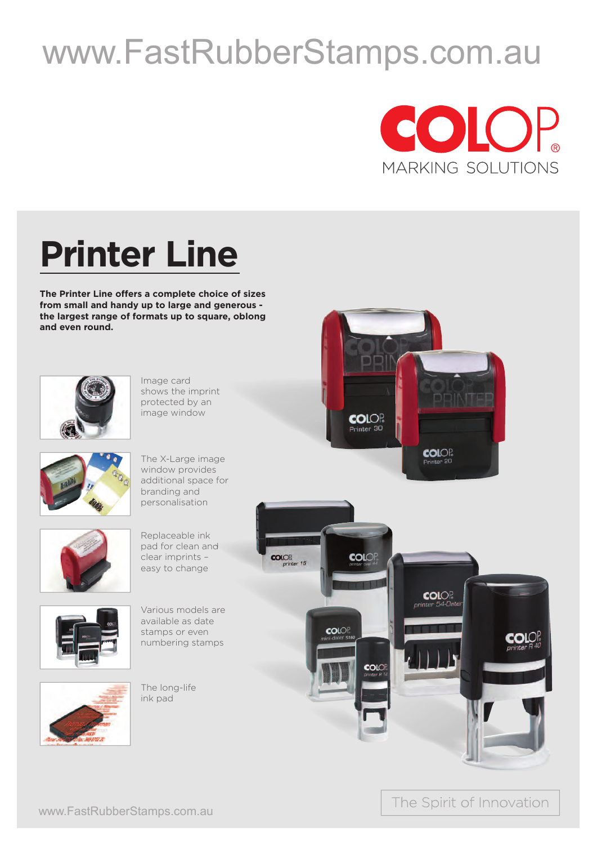## www.FastRubberStamps.com.au



## **Printer Line**

**The Printer Line offers a complete choice of sizes from small and handy up to large and generous the largest range of formats up to square, oblong and even round.**



Image card shows the imprint protected by an image window



The X-Large image window provides additional space for branding and personalisation



Replaceable ink pad for clean and clear imprints – easy to change



Various models are available as date stamps or even numbering stamps



The long-life ink pad





The Spirit of Innovation